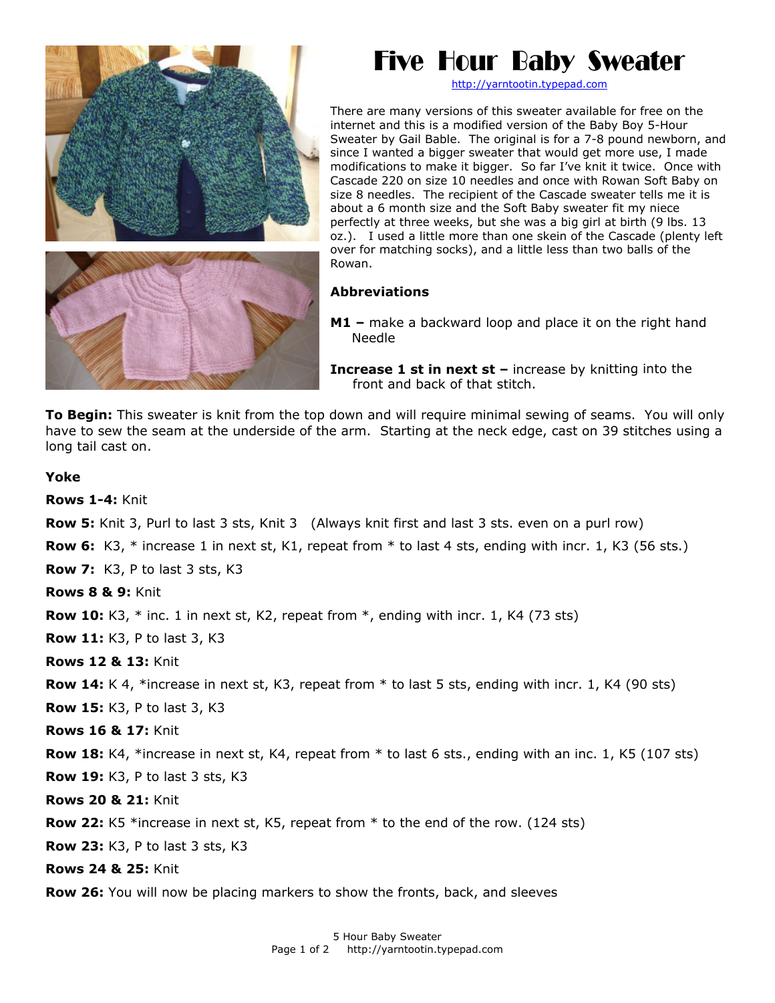

## Five Hour Baby Sweater

[http://yarntootin.typepad.com](http://yarntootin.typepad.com/)

There are many versions of this sweater available for free on the internet and this is a modified version of the Baby Boy 5-Hour Sweater by Gail Bable. The original is for a 7-8 pound newborn, and since I wanted a bigger sweater that would get more use, I made modifications to make it bigger. So far I've knit it twice. Once with Cascade 220 on size 10 needles and once with Rowan Soft Baby on size 8 needles. The recipient of the Cascade sweater tells me it is about a 6 month size and the Soft Baby sweater fit my niece perfectly at three weeks, but she was a big girl at birth (9 lbs. 13 oz.). I used a little more than one skein of the Cascade (plenty left over for matching socks), and a little less than t w o balls of the Rowan.

## **Abbreviations**

**M1 –** make a backward loop and place it on the right hand Needle

**Increase 1 st in next st –** increase by knitting into the front and back of that stitch.

**To Begin:** This sweater is knit from the top down and will require minimal sewing of seams. You will only have to sew the seam at the underside of the arm. Starting at the neck edge, cast on 39 stitches using a long tail cast on.

## **Yoke**

**Rows 1-4:** Knit

**Row 5:** Knit 3, Purl to last 3 sts, Knit 3 (Always knit first and last 3 sts. even on a purl row)

**Row 6:** K3, \* increase 1 in next st, K1, repeat from \* to last 4 sts, ending with incr. 1, K3 (56 sts.)

**Row 7:** K3, P to last 3 sts, K3

**Rows 8 & 9:** Knit

**Row 10:** K3, \* inc. 1 in next st, K2, repeat from \*, ending with incr. 1, K4 (73 sts)

**Row 11:** K3, P to last 3, K3

**Rows 12 & 13:** Knit

**Row 14:** K 4, \*increase in next st, K3, repeat from \* to last 5 sts, ending with incr. 1, K4 (90 sts)

**Row 15:** K3, P to last 3, K3

**Rows 16 & 17:** Knit

**Row 18:** K4, \*increase in next st, K4, repeat from \* to last 6 sts., ending with an inc. 1, K5 (107 sts)

**Row 19:** K3, P to last 3 sts, K3

**Rows 20 & 21:** Knit

**Row 22:** K5 \*increase in next st, K5, repeat from \* to the end of the row. (124 sts)

**Row 23:** K3, P to last 3 sts, K3

**Rows 24 & 25:** Knit

**Row 26:** You will now be placing markers to show the fronts, back, and sleeves